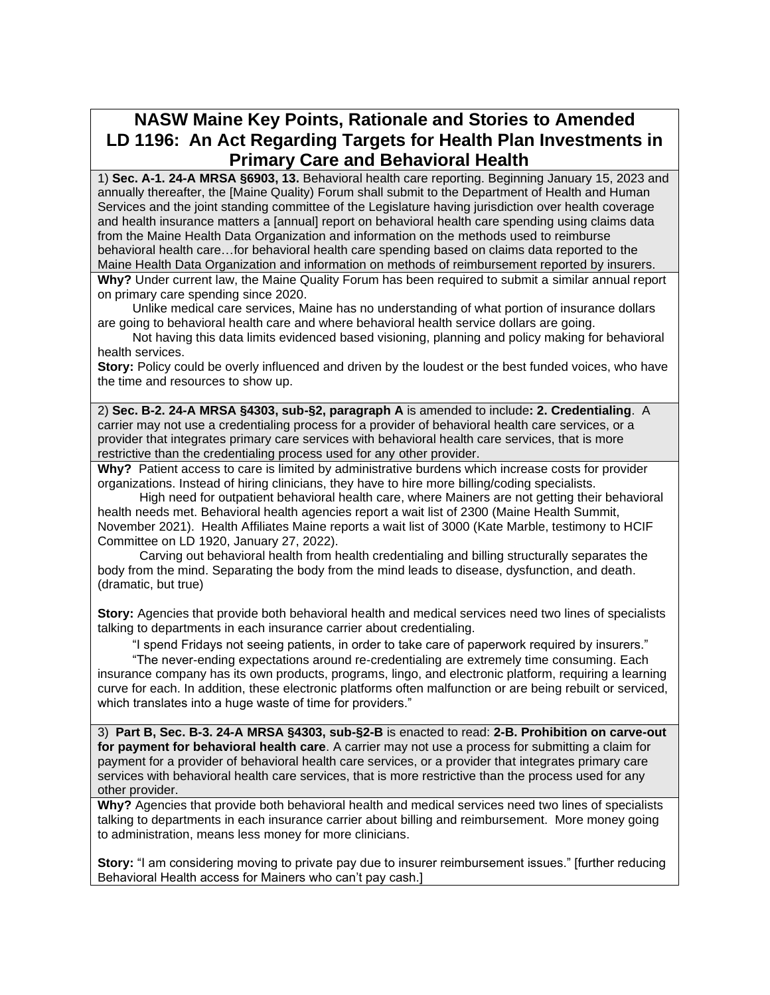## **NASW Maine Key Points, Rationale and Stories to Amended LD 1196: An Act Regarding Targets for Health Plan Investments in Primary Care and Behavioral Health**

1) **Sec. A-1. 24-A MRSA §6903, 13.** Behavioral health care reporting. Beginning January 15, 2023 and annually thereafter, the [Maine Quality) Forum shall submit to the Department of Health and Human Services and the joint standing committee of the Legislature having jurisdiction over health coverage and health insurance matters a [annual] report on behavioral health care spending using claims data from the Maine Health Data Organization and information on the methods used to reimburse behavioral health care…for behavioral health care spending based on claims data reported to the Maine Health Data Organization and information on methods of reimbursement reported by insurers.

**Why?** Under current law, the Maine Quality Forum has been required to submit a similar annual report on primary care spending since 2020.

 Unlike medical care services, Maine has no understanding of what portion of insurance dollars are going to behavioral health care and where behavioral health service dollars are going.

 Not having this data limits evidenced based visioning, planning and policy making for behavioral health services.

**Story:** Policy could be overly influenced and driven by the loudest or the best funded voices, who have the time and resources to show up.

2) **Sec. B-2. 24-A MRSA §4303, sub-§2, paragraph A** is amended to include**: 2. Credentialing**. A carrier may not use a credentialing process for a provider of behavioral health care services, or a provider that integrates primary care services with behavioral health care services, that is more restrictive than the credentialing process used for any other provider.

**Why?** Patient access to care is limited by administrative burdens which increase costs for provider organizations. Instead of hiring clinicians, they have to hire more billing/coding specialists.

High need for outpatient behavioral health care, where Mainers are not getting their behavioral health needs met. Behavioral health agencies report a wait list of 2300 (Maine Health Summit, November 2021). Health Affiliates Maine reports a wait list of 3000 (Kate Marble, testimony to HCIF Committee on LD 1920, January 27, 2022).

 Carving out behavioral health from health credentialing and billing structurally separates the body from the mind. Separating the body from the mind leads to disease, dysfunction, and death. (dramatic, but true)

**Story:** Agencies that provide both behavioral health and medical services need two lines of specialists talking to departments in each insurance carrier about credentialing.

"I spend Fridays not seeing patients, in order to take care of paperwork required by insurers."

 "The never-ending expectations around re-credentialing are extremely time consuming. Each insurance company has its own products, programs, lingo, and electronic platform, requiring a learning curve for each. In addition, these electronic platforms often malfunction or are being rebuilt or serviced, which translates into a huge waste of time for providers."

3) **Part B, Sec. B-3. 24-A MRSA §4303, sub-§2-B** is enacted to read: **2-B. Prohibition on carve-out for payment for behavioral health care**. A carrier may not use a process for submitting a claim for payment for a provider of behavioral health care services, or a provider that integrates primary care services with behavioral health care services, that is more restrictive than the process used for any other provider.

**Why?** Agencies that provide both behavioral health and medical services need two lines of specialists talking to departments in each insurance carrier about billing and reimbursement. More money going to administration, means less money for more clinicians.

**Story:** "I am considering moving to private pay due to insurer reimbursement issues." [further reducing Behavioral Health access for Mainers who can't pay cash.]